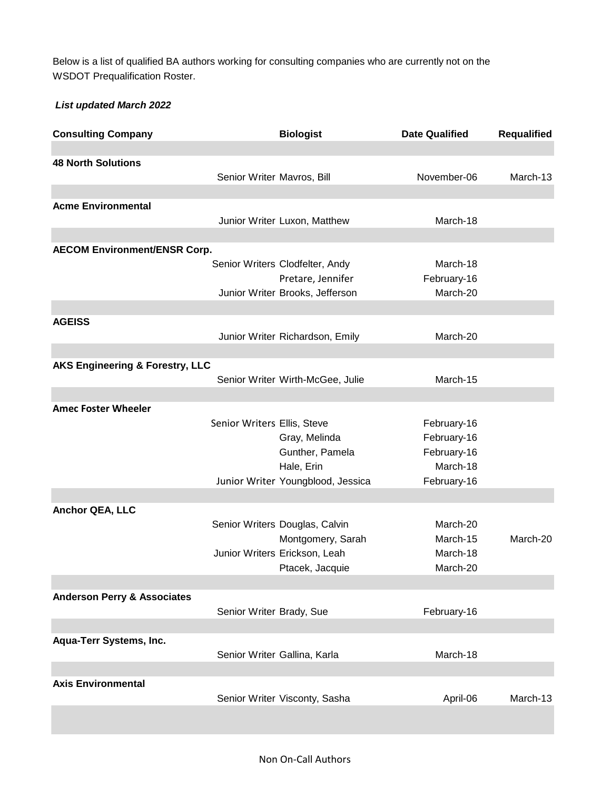WSDOT Prequalification Roster. Below is a list of qualified BA authors working for consulting companies who are currently not on the

## *List updated March 2022*

| <b>Consulting Company</b>                  |                             | <b>Biologist</b>                  | <b>Date Qualified</b> | <b>Requalified</b> |
|--------------------------------------------|-----------------------------|-----------------------------------|-----------------------|--------------------|
|                                            |                             |                                   |                       |                    |
| <b>48 North Solutions</b>                  | Senior Writer Mavros, Bill  |                                   | November-06           | March-13           |
|                                            |                             |                                   |                       |                    |
| <b>Acme Environmental</b>                  |                             |                                   |                       |                    |
|                                            |                             | Junior Writer Luxon, Matthew      | March-18              |                    |
|                                            |                             |                                   |                       |                    |
| <b>AECOM Environment/ENSR Corp.</b>        |                             |                                   |                       |                    |
|                                            |                             | Senior Writers Clodfelter, Andy   | March-18              |                    |
|                                            |                             | Pretare, Jennifer                 | February-16           |                    |
|                                            |                             | Junior Writer Brooks, Jefferson   | March-20              |                    |
|                                            |                             |                                   |                       |                    |
| <b>AGEISS</b>                              |                             |                                   |                       |                    |
|                                            |                             | Junior Writer Richardson, Emily   | March-20              |                    |
|                                            |                             |                                   |                       |                    |
| <b>AKS Engineering &amp; Forestry, LLC</b> |                             |                                   |                       |                    |
|                                            |                             | Senior Writer Wirth-McGee, Julie  | March-15              |                    |
|                                            |                             |                                   |                       |                    |
| <b>Amec Foster Wheeler</b>                 |                             |                                   |                       |                    |
|                                            | Senior Writers Ellis, Steve |                                   | February-16           |                    |
|                                            |                             | Gray, Melinda                     | February-16           |                    |
|                                            |                             | Gunther, Pamela                   | February-16           |                    |
|                                            |                             | Hale, Erin                        | March-18              |                    |
|                                            |                             | Junior Writer Youngblood, Jessica | February-16           |                    |
|                                            |                             |                                   |                       |                    |
| Anchor QEA, LLC                            |                             |                                   |                       |                    |
|                                            |                             |                                   |                       |                    |
|                                            |                             | Senior Writers Douglas, Calvin    | March-20              |                    |
|                                            |                             | Montgomery, Sarah                 | March-15              | March-20           |
|                                            |                             | Junior Writers Erickson, Leah     | March-18              |                    |
|                                            |                             | Ptacek, Jacquie                   | March-20              |                    |
|                                            |                             |                                   |                       |                    |
| <b>Anderson Perry &amp; Associates</b>     |                             |                                   |                       |                    |
|                                            | Senior Writer Brady, Sue    |                                   | February-16           |                    |
|                                            |                             |                                   |                       |                    |
| Aqua-Terr Systems, Inc.                    |                             |                                   |                       |                    |
|                                            |                             | Senior Writer Gallina, Karla      | March-18              |                    |
|                                            |                             |                                   |                       |                    |
| <b>Axis Environmental</b>                  |                             |                                   |                       |                    |
|                                            |                             | Senior Writer Visconty, Sasha     | April-06              | March-13           |
|                                            |                             |                                   |                       |                    |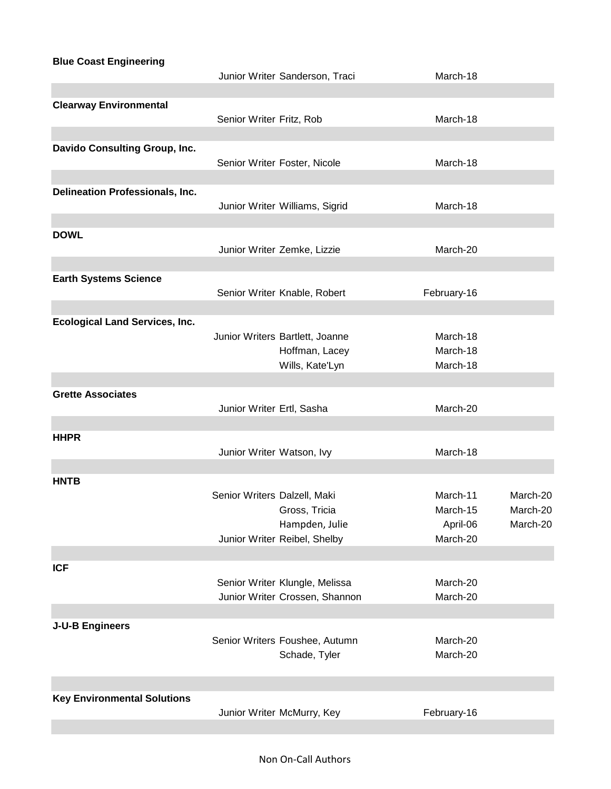**Blue Coast Engineering** Junior Writer Sanderson, Traci March-18 **Clearway Environmental** Senior Writer Fritz, Rob March-18 **Davido Consulting Group, Inc.** Senior Writer Foster, Nicole March-18 **Delineation Professionals, Inc.** Junior Writer Williams, Sigrid March-18 **DOWL** Junior Writer Zemke, Lizzie March-20 **Earth Systems Science** Senior Writer Knable, Robert February-16 **Ecological Land Services, Inc.** Junior Writers Bartlett, Joanne March-18 Hoffman, Lacey March-18 Wills, Kate'Lyn March-18 **Grette Associates** Junior Writer Ertl, Sasha March-20 **HHPR** Junior Writer Watson, Ivy **March-18 HNTB** Senior Writers Dalzell, Maki March-11 March-20 Gross, Tricia **March-15** March-20 Hampden, Julie **April-06** March-20 Junior Writer Reibel, Shelby March-20 **ICF** Senior Writer Klungle, Melissa **March-20** Junior Writer Crossen, Shannon March-20 **J-U-B Engineers** Senior Writers Foushee, Autumn March-20 Schade, Tyler March-20 **Key Environmental Solutions** Junior Writer McMurry, Key **February-16**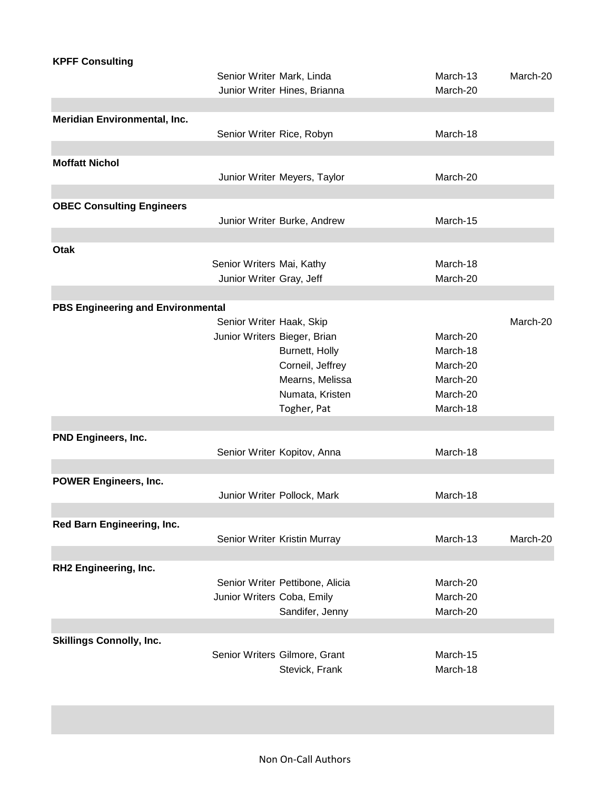| <b>KPFF Consulting</b>                   |                              |                                 |          |          |
|------------------------------------------|------------------------------|---------------------------------|----------|----------|
|                                          | Senior Writer Mark, Linda    |                                 | March-13 | March-20 |
|                                          |                              | Junior Writer Hines, Brianna    | March-20 |          |
|                                          |                              |                                 |          |          |
| Meridian Environmental, Inc.             |                              |                                 |          |          |
|                                          | Senior Writer Rice, Robyn    |                                 | March-18 |          |
|                                          |                              |                                 |          |          |
| <b>Moffatt Nichol</b>                    |                              |                                 |          |          |
|                                          |                              | Junior Writer Meyers, Taylor    | March-20 |          |
|                                          |                              |                                 |          |          |
| <b>OBEC Consulting Engineers</b>         |                              |                                 |          |          |
|                                          |                              | Junior Writer Burke, Andrew     | March-15 |          |
|                                          |                              |                                 |          |          |
| <b>Otak</b>                              |                              |                                 |          |          |
|                                          | Senior Writers Mai, Kathy    |                                 | March-18 |          |
|                                          | Junior Writer Gray, Jeff     |                                 | March-20 |          |
|                                          |                              |                                 |          |          |
| <b>PBS Engineering and Environmental</b> |                              |                                 |          |          |
|                                          | Senior Writer Haak, Skip     |                                 |          | March-20 |
|                                          | Junior Writers Bieger, Brian |                                 | March-20 |          |
|                                          |                              | Burnett, Holly                  | March-18 |          |
|                                          |                              | Corneil, Jeffrey                | March-20 |          |
|                                          |                              | Mearns, Melissa                 | March-20 |          |
|                                          |                              | Numata, Kristen                 | March-20 |          |
|                                          |                              | Togher, Pat                     | March-18 |          |
|                                          |                              |                                 |          |          |
| <b>PND Engineers, Inc.</b>               |                              |                                 |          |          |
|                                          |                              | Senior Writer Kopitov, Anna     | March-18 |          |
|                                          |                              |                                 |          |          |
| <b>POWER Engineers, Inc.</b>             |                              |                                 |          |          |
|                                          |                              | Junior Writer Pollock, Mark     | March-18 |          |
|                                          |                              |                                 |          |          |
| Red Barn Engineering, Inc.               |                              |                                 |          |          |
|                                          |                              | Senior Writer Kristin Murray    | March-13 | March-20 |
|                                          |                              |                                 |          |          |
| RH2 Engineering, Inc.                    |                              |                                 |          |          |
|                                          |                              | Senior Writer Pettibone, Alicia | March-20 |          |
|                                          | Junior Writers Coba, Emily   |                                 | March-20 |          |
|                                          |                              | Sandifer, Jenny                 | March-20 |          |
|                                          |                              |                                 |          |          |
| <b>Skillings Connolly, Inc.</b>          |                              |                                 |          |          |
|                                          |                              | Senior Writers Gilmore, Grant   | March-15 |          |
|                                          |                              | Stevick, Frank                  | March-18 |          |